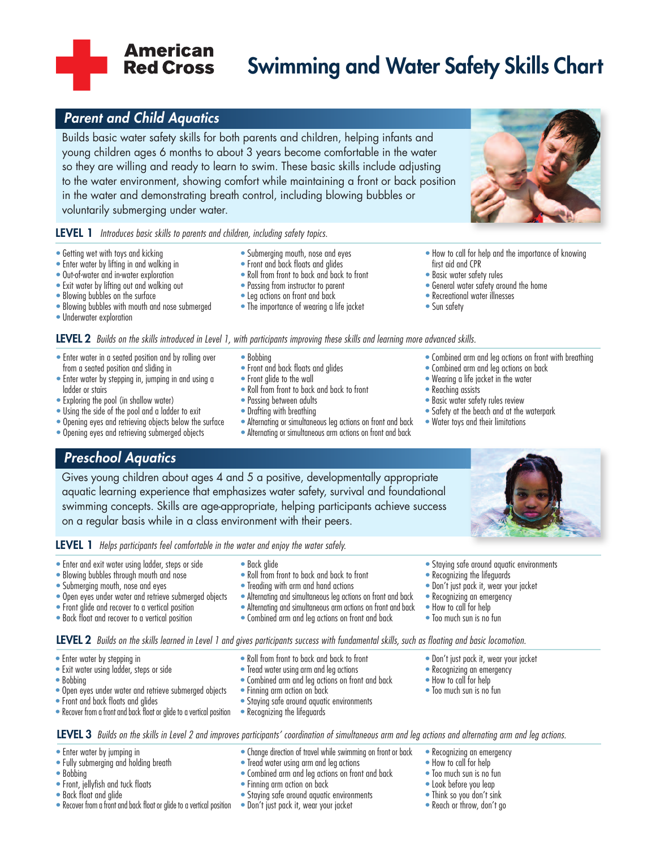# **Swimming and Water Safety Skills Chart**

# *Parent and Child Aquatics*

**American Red Cross** 

Builds basic water safety skills for both parents and children, helping infants and young children ages 6 months to about 3 years become comfortable in the water so they are willing and ready to learn to swim. These basic skills include adjusting to the water environment, showing comfort while maintaining a front or back position in the water and demonstrating breath control, including blowing bubbles or voluntarily submerging under water.

#### **LEVEL 1** *Introduces basic skills to parents and children, including safety topics.*

- Getting wet with toys and kicking
- Enter water by lifting in and walking in
- Out-of-water and in-water exploration
- Exit water by lifting out and walking out
- Blowing bubbles on the surface
- Blowing bubbles with mouth and nose submerged
- Underwater exploration
- Submerging mouth, nose and eyes
- Front and back floats and glides
- Roll from front to back and back to front
- Passing from instructor to parent
- Leg actions on front and back
- The importance of wearing a life jacket
- first aid and CPR
- Basic water safety rules
- General water safety around the home
- Recreational water illnesses
- Sun safety

LEVEL 2 Builds on the skills introduced in Level 1, with participants improving these skills and learning more advanced skills.

- Enter water in a seated position and by rolling over from a seated position and sliding in
- Enter water by stepping in, jumping in and using a ladder or stairs
- Exploring the pool (in shallow water)
- Using the side of the pool and a ladder to exit
- Opening eyes and retrieving objects below the surface
- Opening eyes and retrieving submerged objects

# *Preschool Aquatics*

Gives young children about ages 4 and 5 a positive, developmentally appropriate aquatic learning experience that emphasizes water safety, survival and foundational swimming concepts. Skills are age-appropriate, helping participants achieve success on a regular basis while in a class environment with their peers.

**LEVEL 1** *Helps participants feel comfortable in the water and enjoy the water safely.*

- Enter and exit water using ladder, steps or side
- Blowing bubbles through mouth and nose
- Submerging mouth, nose and eyes
- Open eyes under water and retrieve submerged objects
- Front glide and recover to a vertical position
- Back float and recover to a vertical position
- - Roll from front to back and back to front
- Exit water using ladder, steps or side
- Bobbing
- Open eyes under water and retrieve submerged objects
- Front and back floats and alides
- Recover from a front and back float or glide to a vertical position
- Back glide
- Roll from front to back and back to front
- Treading with arm and hand actions
- Alternating and simultaneous leg actions on front and back
- Alternating and simultaneous arm actions on front andback
- Combined arm and leg actions on front and back
- Don't just pack it, wear your jacket • Recognizing an emergency

• Don't just pack it, wear your jacket • Recognizing an emergency • How to call for help • Too much sun is no fun

• Staying safe around aquatic environments

- How to call for help
- Too much sun is no fun

• Recognizing the lifeguards

**LEVEL 2** Builds on the skills learned in Level 1 and gives participants success with fundamental skills, such as floating and basic locomotion.

- Enter water by stepping in
- -
- 
- 
- 

### LEVEL 3 Builds on the skills in Level 2 and improves participants' coordination of simultaneous arm and leg actions and alternating arm and leg actions.

• Change direction of travel while swimming on front or back

- Enter water by jumping in
- Fully submerging and holding breath
- Bobbing
- Front, jellyfish and tuck floats
- Back float and glide
- Recover from a front and back float or glide to a vertical position Don't just pack it, wear your jacket
- Tread water using arm and leg actions
- Combined arm and leg actions on front and back
- Finning arm action on back
- Staying safe around aquatic environments

• Tread water using arm and leg actions • Combined arm and leg actions on front and back

• Staying safe around aquatic environments

• Recognizing the lifeguards

• Finning arm action on back

- 
- Recognizing an emergency
- How to call for help
- Too much sun is no fun
- Look before you leap
- Think so you don't sink
- Reach or throw, don't go
- How to call for help and the importance of knowing
- 
- 
- 
- 
- Combined arm and leg actions on front with breathing
- Combined arm and leg actions on back
- Wearing a life jacket in the water
- Reaching assists
- Basic water safety rules review
- Safety at the beach and at the waterpark
- Water toys and their limitations
- Bobbing
	-
- Front and back floats and glides
- Front glide to the wall
- Roll from front to back and back to front
- Passing between adults
- Drafting with breathing
- Alternating or simultaneous leg actions on front and back • Alternating or simultaneous arm actions on front and back